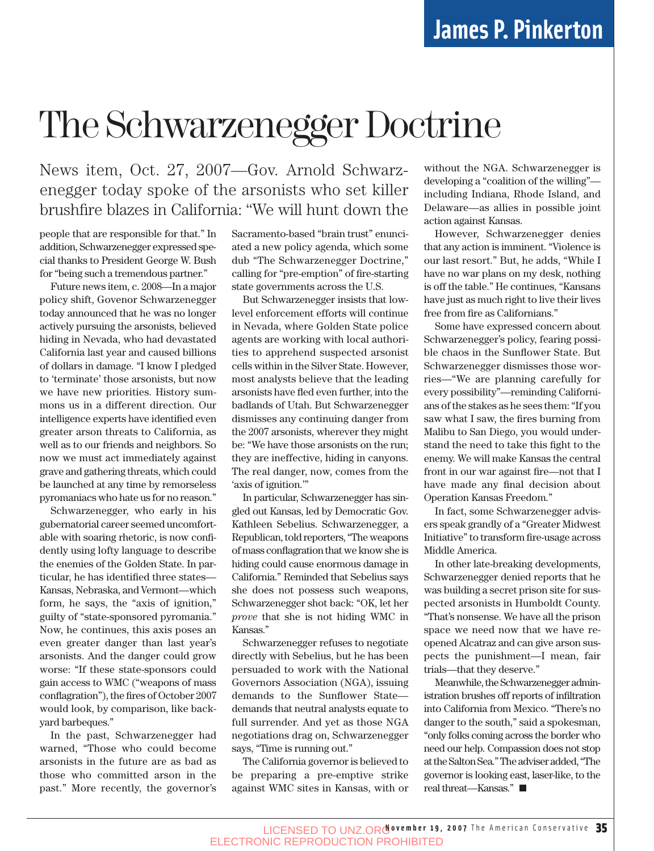## The Schwarzenegger Doctrine

News item, Oct. 27, 2007—Gov. Arnold Schwarzenegger today spoke of the arsonists who set killer brushfire blazes in California: "We will hunt down the

people that are responsible for that." In addition, Schwarzenegger expressed special thanks to President George W. Bush for "being such a tremendous partner."

Future news item, c. 2008—In a major policy shift, Govenor Schwarzenegger today announced that he was no longer actively pursuing the arsonists, believed hiding in Nevada, who had devastated California last year and caused billions of dollars in damage. "I know I pledged to 'terminate' those arsonists, but now we have new priorities. History summons us in a different direction. Our intelligence experts have identified even greater arson threats to California, as well as to our friends and neighbors. So now we must act immediately against grave and gathering threats, which could be launched at any time by remorseless pyromaniacs who hate us for no reason."

Schwarzenegger, who early in his gubernatorial career seemed uncomfortable with soaring rhetoric, is now confidently using lofty language to describe the enemies of the Golden State. In particular, he has identified three states— Kansas, Nebraska, and Vermont—which form, he says, the "axis of ignition," guilty of "state-sponsored pyromania." Now, he continues, this axis poses an even greater danger than last year's arsonists. And the danger could grow worse: "If these state-sponsors could gain access to WMC ("weapons of mass conflagration"), the fires of October 2007 would look, by comparison, like backyard barbeques."

In the past, Schwarzenegger had warned, "Those who could become arsonists in the future are as bad as those who committed arson in the past." More recently, the governor's Sacramento-based "brain trust" enunciated a new policy agenda, which some dub "The Schwarzenegger Doctrine," calling for "pre-emption" of fire-starting state governments across the U.S.

But Schwarzenegger insists that lowlevel enforcement efforts will continue in Nevada, where Golden State police agents are working with local authorities to apprehend suspected arsonist cells within in the Silver State. However, most analysts believe that the leading arsonists have fled even further, into the badlands of Utah. But Schwarzenegger dismisses any continuing danger from the 2007 arsonists, wherever they might be: "We have those arsonists on the run; they are ineffective, hiding in canyons. The real danger, now, comes from the 'axis of ignition.'"

In particular, Schwarzenegger has singled out Kansas, led by Democratic Gov. Kathleen Sebelius. Schwarzenegger, a Republican, told reporters, "The weapons of mass conflagration that we know she is hiding could cause enormous damage in California." Reminded that Sebelius says she does not possess such weapons, Schwarzenegger shot back: "OK, let her *prove* that she is not hiding WMC in Kansas."

Schwarzenegger refuses to negotiate directly with Sebelius, but he has been persuaded to work with the National Governors Association (NGA), issuing demands to the Sunflower State demands that neutral analysts equate to full surrender. And yet as those NGA negotiations drag on, Schwarzenegger says, "Time is running out."

The California governor is believed to be preparing a pre-emptive strike against WMC sites in Kansas, with or without the NGA. Schwarzenegger is developing a "coalition of the willing" including Indiana, Rhode Island, and Delaware—as allies in possible joint action against Kansas.

However, Schwarzenegger denies that any action is imminent. "Violence is our last resort." But, he adds, "While I have no war plans on my desk, nothing is off the table." He continues, "Kansans have just as much right to live their lives free from fire as Californians."

Some have expressed concern about Schwarzenegger's policy, fearing possible chaos in the Sunflower State. But Schwarzenegger dismisses those worries—"We are planning carefully for every possibility"—reminding Californians of the stakes as he sees them: "If you saw what I saw, the fires burning from Malibu to San Diego, you would understand the need to take this fight to the enemy. We will make Kansas the central front in our war against fire—not that I have made any final decision about Operation Kansas Freedom."

In fact, some Schwarzenegger advisers speak grandly of a "Greater Midwest Initiative" to transform fire-usage across Middle America.

In other late-breaking developments, Schwarzenegger denied reports that he was building a secret prison site for suspected arsonists in Humboldt County. "That's nonsense. We have all the prison space we need now that we have reopened Alcatraz and can give arson suspects the punishment—I mean, fair trials—that they deserve."

Meanwhile, the Schwarzenegger administration brushes off reports of infiltration into California from Mexico. "There's no danger to the south," said a spokesman, "only folks coming across the border who need our help. Compassion does not stop at the Salton Sea." The adviser added, "The governor is looking east, laser-like, to the real threat—Kansas."